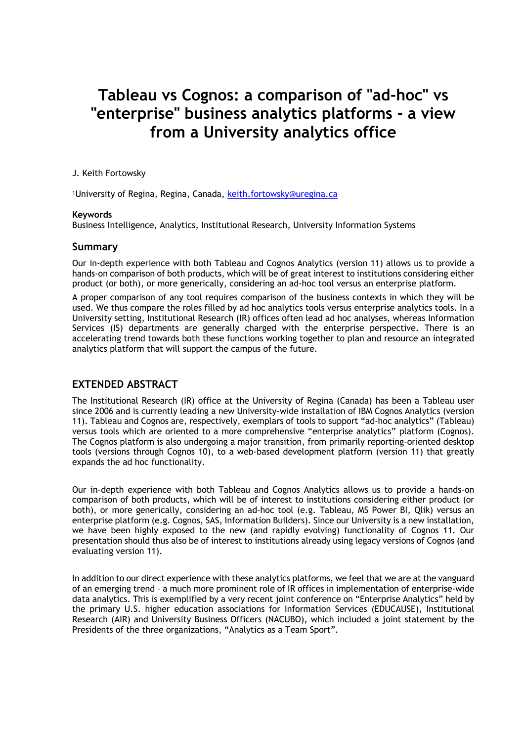# **Tableau vs Cognos: a comparison of "ad-hoc" vs "enterprise" business analytics platforms - a view from a University analytics office**

#### J. Keith Fortowsky

1University of Regina, Regina, Canada, keith.fortowsky@uregina.ca

#### **Keywords**

Business Intelligence, Analytics, Institutional Research, University Information Systems

#### **Summary**

Our in-depth experience with both Tableau and Cognos Analytics (version 11) allows us to provide a hands-on comparison of both products, which will be of great interest to institutions considering either product (or both), or more generically, considering an ad-hoc tool versus an enterprise platform.

A proper comparison of any tool requires comparison of the business contexts in which they will be used. We thus compare the roles filled by ad hoc analytics tools versus enterprise analytics tools. In a University setting, Institutional Research (IR) offices often lead ad hoc analyses, whereas Information Services (IS) departments are generally charged with the enterprise perspective. There is an accelerating trend towards both these functions working together to plan and resource an integrated analytics platform that will support the campus of the future.

# **EXTENDED ABSTRACT**

The Institutional Research (IR) office at the University of Regina (Canada) has been a Tableau user since 2006 and is currently leading a new University-wide installation of IBM Cognos Analytics (version 11). Tableau and Cognos are, respectively, exemplars of tools to support "ad-hoc analytics" (Tableau) versus tools which are oriented to a more comprehensive "enterprise analytics" platform (Cognos). The Cognos platform is also undergoing a major transition, from primarily reporting-oriented desktop tools (versions through Cognos 10), to a web-based development platform (version 11) that greatly expands the ad hoc functionality.

Our in-depth experience with both Tableau and Cognos Analytics allows us to provide a hands-on comparison of both products, which will be of interest to institutions considering either product (or both), or more generically, considering an ad-hoc tool (e.g. Tableau, MS Power BI, Qlik) versus an enterprise platform (e.g. Cognos, SAS, Information Builders). Since our University is a new installation, we have been highly exposed to the new (and rapidly evolving) functionality of Cognos 11. Our presentation should thus also be of interest to institutions already using legacy versions of Cognos (and evaluating version 11).

In addition to our direct experience with these analytics platforms, we feel that we are at the vanguard of an emerging trend – a much more prominent role of IR offices in implementation of enterprise-wide data analytics. This is exemplified by a very recent joint conference on "Enterprise Analytics" held by the primary U.S. higher education associations for Information Services (EDUCAUSE), Institutional Research (AIR) and University Business Officers (NACUBO), which included a joint statement by the Presidents of the three organizations, "Analytics as a Team Sport".